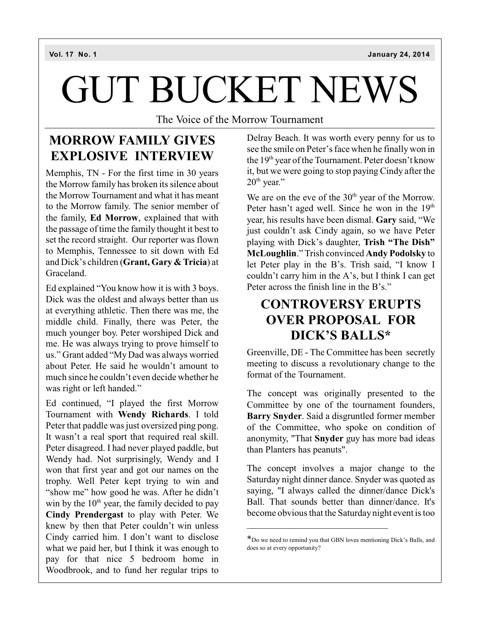# GUT BUCKET NEWS

The Voice of the Morrow Tournament

### **MORROW FAMILY GIVES EXPLOSIVE INTERVIEW**

Memphis, TN - For the first time in 30 years the Morrow family has broken its silence about the Morrow Tournament and what it has meant to the Morrow family. The senior member of the family, **Ed Morrow**, explained that with the passage of time the family thought it best to set the record straight. Our reporter was flown to Memphis, Tennessee to sit down with Ed and Dick's children (**Grant, Gary & Tricia**) at Graceland.

Ed explained "You know how it is with 3 boys. Dick was the oldest and always better than us at everything athletic. Then there was me, the middle child. Finally, there was Peter, the much younger boy. Peter worshiped Dick and me. He was always trying to prove himself to us." Grant added "MyDad was always worried about Peter. He said he wouldn't amount to much since he couldn't even decide whether he was right or left handed."

Ed continued, "I played the first Morrow Tournament with **Wendy Richards**. I told Peter that paddle was just oversized ping pong. It wasn't a real sport that required real skill. Peter disagreed. I had never played paddle, but Wendy had. Not surprisingly, Wendy and I won that first year and got our names on the trophy. Well Peter kept trying to win and "show me" how good he was. After he didn't win by the  $10<sup>th</sup>$  year, the family decided to pay **Cindy Prendergast** to play with Peter. We knew by then that Peter couldn't win unless Cindy carried him. I don't want to disclose what we paid her, but I think it was enough to pay for that nice 5 bedroom home in Woodbrook, and to fund her regular trips to

Delray Beach. It was worth every penny for us to see the smile on Peter's face when he finally won in the  $19<sup>th</sup>$  year of the Tournament. Peter doesn't know it, but we were going to stop paying Cindy after the  $20<sup>th</sup>$  year."

We are on the eve of the  $30<sup>th</sup>$  year of the Morrow. Peter hasn't aged well. Since he won in the 19<sup>th</sup> year, his results have been dismal. **Gary** said, "We just couldn't ask Cindy again, so we have Peter playing with Dick's daughter, **Trish "The Dish" McLoughlin**." Trish convinced **Andy Podolsky** to let Peter play in the B's. Trish said, "I know I couldn't carry him in the A's, but I think I can get Peter across the finish line in the B's."

### **CONTROVERSY ERUPTS OVER PROPOSAL FOR DICK'S BALLS\***

Greenville, DE - The Committee has been secretly meeting to discuss a revolutionary change to the format of the Tournament.

The concept was originally presented to the Committee by one of the tournament founders, **Barry Snyder**. Said a disgruntled former member of the Committee, who spoke on condition of anonymity, "That **Snyder** guy has more bad ideas than Planters has peanuts".

The concept involves a major change to the Saturday night dinner dance. Snyder was quoted as saying, "I always called the dinner/dance Dick's Ball. That sounds better than dinner/dance. It's become obvious that the Saturdaynight event is too

\_\_\_\_\_\_\_\_\_\_\_\_\_\_\_\_\_\_\_\_\_\_\_\_\_\_\_\_\_\_

<sup>\*</sup>Do we need to remind you that GBN loves mentioning Dick's Balls, and does so at every opportunity?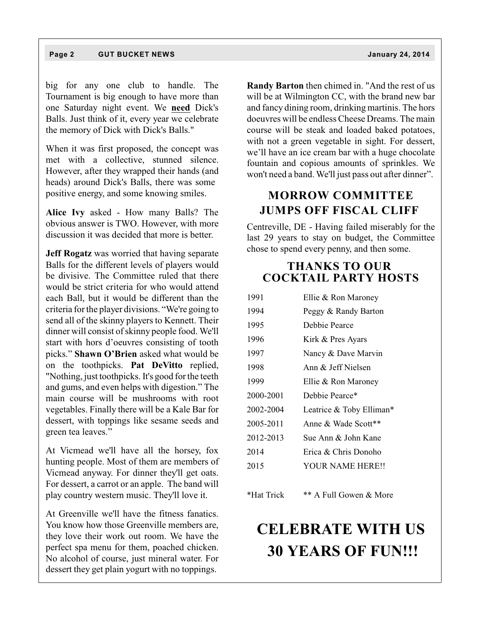big for any one club to handle. The Tournament is big enough to have more than one Saturday night event. We **need** Dick's Balls. Just think of it, every year we celebrate the memory of Dick with Dick's Balls."

When it was first proposed, the concept was met with a collective, stunned silence. However, after they wrapped their hands (and heads) around Dick's Balls, there was some positive energy, and some knowing smiles.

**Alice Ivy** asked - How many Balls? The obvious answer is TWO. However, with more discussion it was decided that more is better.

**Jeff Rogatz** was worried that having separate Balls for the different levels of players would be divisive. The Committee ruled that there would be strict criteria for who would attend each Ball, but it would be different than the criteria for the player divisions. "We're going to send all of the skinny players to Kennett. Their dinner will consist of skinny people food. We'll start with hors d'oeuvres consisting of tooth picks." **Shawn O'Brien** asked what would be on the toothpicks. **Pat DeVitto** replied, "Nothing, just toothpicks. It's good for the teeth and gums, and even helps with digestion." The main course will be mushrooms with root vegetables. Finally there will be a Kale Bar for dessert, with toppings like sesame seeds and green tea leaves."

At Vicmead we'll have all the horsey, fox hunting people. Most of them are members of Vicmead anyway. For dinner they'll get oats. For dessert, a carrot or an apple. The band will play country western music. They'll love it.

At Greenville we'll have the fitness fanatics. You know how those Greenville members are, they love their work out room. We have the perfect spa menu for them, poached chicken. No alcohol of course, just mineral water. For dessert they get plain yogurt with no toppings.

**Randy Barton** then chimed in. "And the rest of us will be at Wilmington CC, with the brand new bar and fancy dining room, drinking martinis. The hors doeuvres will be endless Cheese Dreams. The main course will be steak and loaded baked potatoes, with not a green vegetable in sight. For dessert, we'll have an ice cream bar with a huge chocolate fountain and copious amounts of sprinkles. We won't need a band. We'll just pass out after dinner".

#### **MORROW COMMITTEE JUMPS OFF FISCAL CLIFF**

Centreville, DE - Having failed miserably for the last 29 years to stay on budget, the Committee chose to spend every penny, and then some.

#### **THANKS TO OUR COCKTAIL PARTY HOSTS**

| 1991      | Ellie & Ron Maroney      |
|-----------|--------------------------|
| 1994      | Peggy & Randy Barton     |
| 1995      | Debbie Pearce            |
| 1996      | Kirk & Pres Ayars        |
| 1997      | Nancy & Dave Marvin      |
| 1998      | Ann $\&$ Jeff Nielsen    |
| 1999      | Ellie & Ron Maroney      |
| 2000-2001 | Debbie Pearce*           |
| 2002-2004 | Leatrice & Toby Elliman* |
| 2005-2011 | Anne & Wade Scott**      |
| 2012-2013 | Sue Ann & John Kane      |
| 2014      | Erica & Chris Donoho     |
| 2015      | <b>YOUR NAME HERE!!</b>  |
|           |                          |
|           |                          |

\*Hat Trick \*\* A Full Gowen & More

## **CELEBRATE WITH US 30 YEARS OF FUN!!!**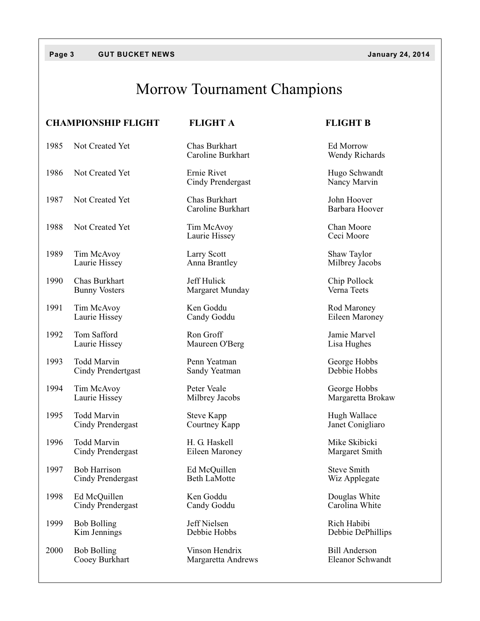### Morrow Tournament Champions

### **CHAMPIONSHIP FLIGHT FLIGHT A FLIGHT B** 1985 Not Created Yet Chas Burkhart Ed Morrow<br>Caroline Burkhart Wendy Richards Caroline Burkhart 1986 Not Created Yet Ernie Rivet Ernie Rivet Hugo Schwandt<br>Cindy Prendergast Nancy Marvin Cindy Prendergast 1987 Not Created Yet Chas Burkhart 1987 Not Created Yet Chas Burkhart 1987 John Hoover Caroline Burkhart 1988 Not Created Yet Tim McAvoy Chan Moore<br>
Laurie Hissey Ceci Moore Laurie Hissey 1989 Tim McAvoy Larry Scott Shaw Taylor<br>
Laurie Hissey Anna Brantley Milbrey Jaco Milbrey Jacobs 1990 Chas Burkhart Jeff Hulick Chip Pollock<br>
Bunny Vosters Margaret Mundav Verna Teets Bunny Vosters Margaret Munday 1991 Tim McAvoy Ken Goddu Rod Maroney Laurie Hissey Candy Goddu Eileen Maroney 1992 Tom Safford **Ron** Groff **Ron** Groff Jamie Marvel Laurie Hissey Maureen O'Berg Lisa Hughes 1993 Todd Marvin Penn Yeatman George Hobbs<br>
Cindy Prendertgast Sandy Yeatman Debbie Hobbs Cindy Prendertgast 1994 Tim McAvoy Peter Veale George Hobbs<br>
Laurie Hissey Milbrey Jacobs Margaretta Bro Margaretta Brokaw 1995 Todd Marvin Steve Kapp Steve Kapp Hugh Wallace<br>
Cindy Prendergast Courtney Kapp Janet Conigliaro Cindy Prendergast 1996 Todd Marvin **H. G. Haskell** Mike Skibicki Cindy Prendergast Eileen Maroney Margaret Smith 1997 Bob Harrison Ed McQuillen Steve Smith<br>Cindy Prendergast Beth LaMotte Steve Smith Steve Smith Cindy Prendergast Beth LaMotte Wiz Applegate 1998 Ed McQuillen Ken Goddu Douglas White<br>
Cindy Prendergast Candy Goddu Carolina White Cindy Prendergast 1999 Bob Bolling Jeff Nielsen Rich Habibi<br>
Kim Jennings Debbie Hobbs Debbie DePl Debbie DePhillips 2000 Bob Bolling Vinson Hendrix Bill Anderson<br>
Cooey Burkhart Margaretta Andrews Eleanor Schwandt

Margaretta Andrews